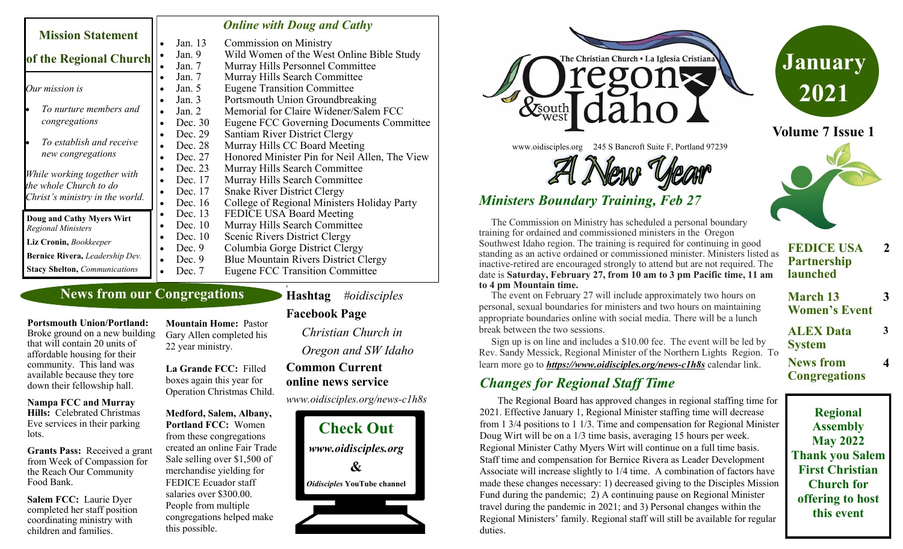|                                                                                          |          | <b>Online with Doug and Cathy</b>             |
|------------------------------------------------------------------------------------------|----------|-----------------------------------------------|
| <b>Mission Statement</b>                                                                 | Jan. 13  | <b>Commission on Ministry</b>                 |
| of the Regional Church                                                                   | Jan. 9   | Wild Women of the West Online Bible Study     |
|                                                                                          | Jan. 7   | Murray Hills Personnel Committee              |
| Our mission is                                                                           | Jan. 7   | Murray Hills Search Committee                 |
|                                                                                          | Jan. 5   | <b>Eugene Transition Committee</b>            |
|                                                                                          | Jan. $3$ | Portsmouth Union Groundbreaking               |
| To nurture members and                                                                   | Jan. $2$ | Memorial for Claire Widener/Salem FCC         |
| congregations                                                                            | Dec. 30  | Eugene FCC Governing Documents Committee      |
| To establish and receive<br>new congregations                                            | Dec. 29  | <b>Santiam River District Clergy</b>          |
|                                                                                          | Dec. 28  | Murray Hills CC Board Meeting                 |
|                                                                                          | Dec. 27  | Honored Minister Pin for Neil Allen, The View |
| While working together with<br>the whole Church to do<br>Christ's ministry in the world. | Dec. 23  | Murray Hills Search Committee                 |
|                                                                                          | Dec. 17  | Murray Hills Search Committee                 |
|                                                                                          | Dec. 17  | <b>Snake River District Clergy</b>            |
|                                                                                          | Dec. 16  | College of Regional Ministers Holiday Party   |
| Doug and Cathy Myers Wirt<br><b>Regional Ministers</b>                                   | Dec. 13  | FEDICE USA Board Meeting                      |
|                                                                                          | Dec. 10  | Murray Hills Search Committee                 |
| Liz Cronin, Bookkeeper                                                                   | Dec. 10  | Scenic Rivers District Clergy                 |
|                                                                                          | Dec. $9$ | Columbia Gorge District Clergy                |
| Bernice Rivera, Leadership Dev.                                                          | Dec. $9$ | Blue Mountain Rivers District Clergy          |
| <b>Stacy Shelton, Communications</b>                                                     | Dec. 7   | <b>Eugene FCC Transition Committee</b>        |

### **News from our Congregations**

# **Hashtag** *#oidisciples*

## **Facebook Page**

**1**

*Christian Church in Oregon and SW Idaho*

## **Common Current online news service**

*www.oidisciples.org/news-c1h8s*





www.oidisciples.org 245 S Bancroft Suite F, Portland 97239

# *Ministers Boundary Training, Feb 27*

 The Commission on Ministry has scheduled a personal boundary training for ordained and commissioned ministers in the Oregon Southwest Idaho region. The training is required for continuing in good standing as an active ordained or commissioned minister. Ministers listed as inactive-retired are encouraged strongly to attend but are not required. The date is **Saturday, February 27, from 10 am to 3 pm Pacific time, 11 am to 4 pm Mountain time.** 

 The event on February 27 will include approximately two hours on personal, sexual boundaries for ministers and two hours on maintaining appropriate boundaries online with social media. There will be a lunch break between the two sessions.

 Sign up is on line and includes a \$10.00 fee. The event will be led by Rev. Sandy Messick, Regional Minister of the Northern Lights Region. To learn more go to *[https://www.oidisciples.org/news](https://www.oidisciples.org/news-c1h8s)-c1h8s* calendar link.

# *Changes for Regional Staff Time*

The Regional Board has approved changes in regional staffing time for 2021. Effective January 1, Regional Minister staffing time will decrease from 1 3/4 positions to 1 1/3. Time and compensation for Regional Minister Doug Wirt will be on a 1/3 time basis, averaging 15 hours per week. Regional Minister Cathy Myers Wirt will continue on a full time basis. Staff time and compensation for Bernice Rivera as Leader Development Associate will increase slightly to 1/4 time. A combination of factors have made these changes necessary: 1) decreased giving to the Disciples Mission Fund during the pandemic; 2) A continuing pause on Regional Minister travel during the pandemic in 2021; and 3) Personal changes within the Regional Ministers' family. Regional staff will still be available for regular duties.



**January**

**2021**

- **FEDICE USA Partnership launched 2**
- **March 13 Women's Event 3**

**3**

**4**

- **ALEX Data System**
- **News from Congregations**

**Regional Assembly May 2022 Thank you Salem First Christian Church for offering to host this event**

**Portsmouth Union/Portland:**  Broke ground on a new building that will contain 20 units of affordable housing for their 22 year ministry.

this possible.

**La Grande FCC:** Filled boxes again this year for Operation Christmas Child.

**Medford, Salem, Albany, Portland FCC:** Women from these congregations created an online Fair Trade Sale selling over \$1,500 of merchandise yielding for FEDICE Ecuador staff salaries over \$300.00. People from multiple congregations helped make

**Nampa FCC and Murray Hills:** Celebrated Christmas Eve services in their parking lots.

community. This land was available because they tore down their fellowship hall.

**Grants Pass:** Received a grant from Week of Compassion for the Reach Our Community Food Bank.

**Salem FCC:** Laurie Dyer completed her staff position coordinating ministry with children and families.

**Mountain Home:** Pastor Gary Allen completed his